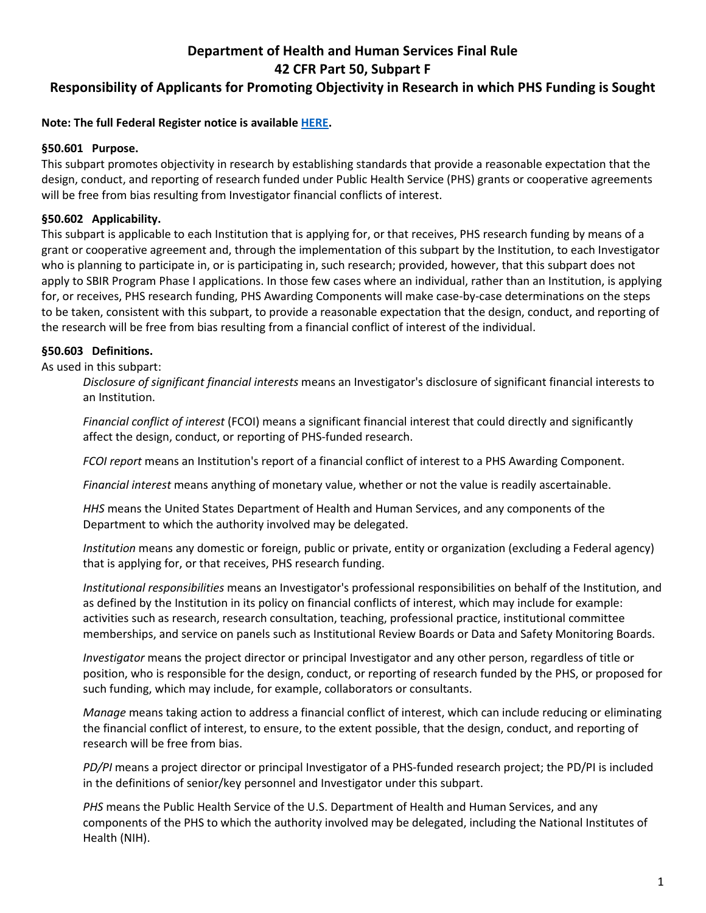# **Department of Health and Human Services Final Rule 42 CFR Part 50, Subpart F**

# **Responsibility of Applicants for Promoting Objectivity in Research in which PHS Funding is Sought**

### **Note: The full Federal Register notice is available [HERE.](https://www.federalregister.gov/documents/2011/08/25/2011-21633/responsibility-of-applicants-for-promoting-objectivity-in-research-for-which-public-health-service)**

#### **§50.601 Purpose.**

This subpart promotes objectivity in research by establishing standards that provide a reasonable expectation that the design, conduct, and reporting of research funded under Public Health Service (PHS) grants or cooperative agreements will be free from bias resulting from Investigator financial conflicts of interest.

#### **§50.602 Applicability.**

This subpart is applicable to each Institution that is applying for, or that receives, PHS research funding by means of a grant or cooperative agreement and, through the implementation of this subpart by the Institution, to each Investigator who is planning to participate in, or is participating in, such research; provided, however, that this subpart does not apply to SBIR Program Phase I applications. In those few cases where an individual, rather than an Institution, is applying for, or receives, PHS research funding, PHS Awarding Components will make case-by-case determinations on the steps to be taken, consistent with this subpart, to provide a reasonable expectation that the design, conduct, and reporting of the research will be free from bias resulting from a financial conflict of interest of the individual.

#### **§50.603 Definitions.**

As used in this subpart:

*Disclosure of significant financial interests* means an Investigator's disclosure of significant financial interests to an Institution.

*Financial conflict of interest* (FCOI) means a significant financial interest that could directly and significantly affect the design, conduct, or reporting of PHS-funded research.

*FCOI report* means an Institution's report of a financial conflict of interest to a PHS Awarding Component.

*Financial interest* means anything of monetary value, whether or not the value is readily ascertainable.

*HHS* means the United States Department of Health and Human Services, and any components of the Department to which the authority involved may be delegated.

*Institution* means any domestic or foreign, public or private, entity or organization (excluding a Federal agency) that is applying for, or that receives, PHS research funding.

*Institutional responsibilities* means an Investigator's professional responsibilities on behalf of the Institution, and as defined by the Institution in its policy on financial conflicts of interest, which may include for example: activities such as research, research consultation, teaching, professional practice, institutional committee memberships, and service on panels such as Institutional Review Boards or Data and Safety Monitoring Boards.

*Investigator* means the project director or principal Investigator and any other person, regardless of title or position, who is responsible for the design, conduct, or reporting of research funded by the PHS, or proposed for such funding, which may include, for example, collaborators or consultants.

*Manage* means taking action to address a financial conflict of interest, which can include reducing or eliminating the financial conflict of interest, to ensure, to the extent possible, that the design, conduct, and reporting of research will be free from bias.

*PD/PI* means a project director or principal Investigator of a PHS-funded research project; the PD/PI is included in the definitions of senior/key personnel and Investigator under this subpart.

*PHS* means the Public Health Service of the U.S. Department of Health and Human Services, and any components of the PHS to which the authority involved may be delegated, including the National Institutes of Health (NIH).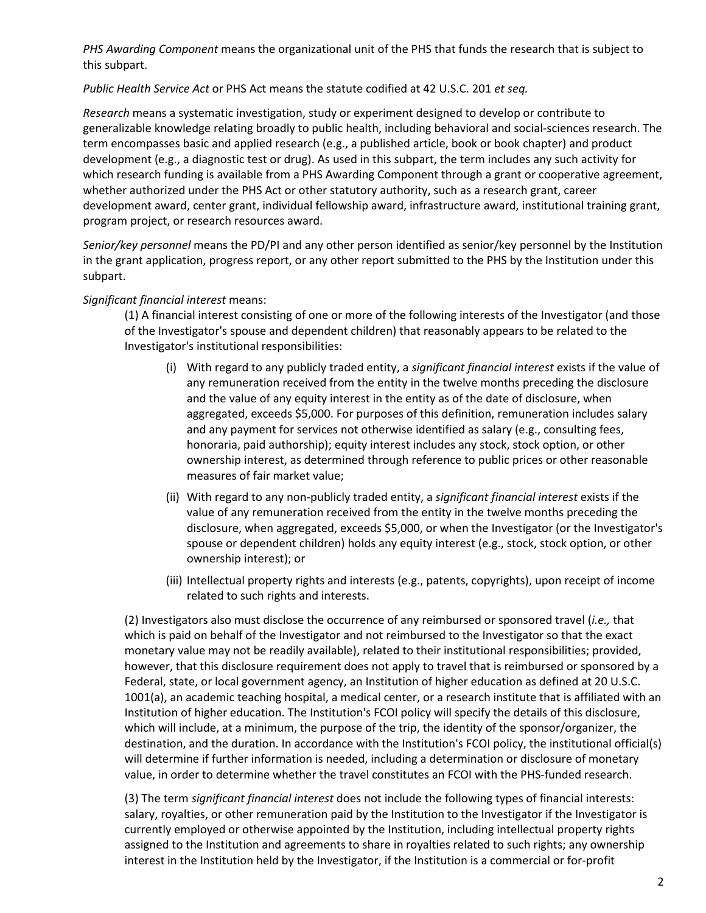*PHS Awarding Component* means the organizational unit of the PHS that funds the research that is subject to this subpart.

*Public Health Service Act* or PHS Act means the statute codified at 42 U.S.C. 201 *et seq.*

*Research* means a systematic investigation, study or experiment designed to develop or contribute to generalizable knowledge relating broadly to public health, including behavioral and social-sciences research. The term encompasses basic and applied research (e.g., a published article, book or book chapter) and product development (e.g., a diagnostic test or drug). As used in this subpart, the term includes any such activity for which research funding is available from a PHS Awarding Component through a grant or cooperative agreement, whether authorized under the PHS Act or other statutory authority, such as a research grant, career development award, center grant, individual fellowship award, infrastructure award, institutional training grant, program project, or research resources award.

*Senior/key personnel* means the PD/PI and any other person identified as senior/key personnel by the Institution in the grant application, progress report, or any other report submitted to the PHS by the Institution under this subpart.

# *Significant financial interest* means:

(1) A financial interest consisting of one or more of the following interests of the Investigator (and those of the Investigator's spouse and dependent children) that reasonably appears to be related to the Investigator's institutional responsibilities:

- (i) With regard to any publicly traded entity, a *significant financial interest* exists if the value of any remuneration received from the entity in the twelve months preceding the disclosure and the value of any equity interest in the entity as of the date of disclosure, when aggregated, exceeds \$5,000. For purposes of this definition, remuneration includes salary and any payment for services not otherwise identified as salary (e.g., consulting fees, honoraria, paid authorship); equity interest includes any stock, stock option, or other ownership interest, as determined through reference to public prices or other reasonable measures of fair market value;
- (ii) With regard to any non-publicly traded entity, a *significant financial interest* exists if the value of any remuneration received from the entity in the twelve months preceding the disclosure, when aggregated, exceeds \$5,000, or when the Investigator (or the Investigator's spouse or dependent children) holds any equity interest (e.g., stock, stock option, or other ownership interest); or
- (iii) Intellectual property rights and interests (e.g., patents, copyrights), upon receipt of income related to such rights and interests.

(2) Investigators also must disclose the occurrence of any reimbursed or sponsored travel (*i.e.,* that which is paid on behalf of the Investigator and not reimbursed to the Investigator so that the exact monetary value may not be readily available), related to their institutional responsibilities; provided, however, that this disclosure requirement does not apply to travel that is reimbursed or sponsored by a Federal, state, or local government agency, an Institution of higher education as defined at 20 U.S.C. 1001(a), an academic teaching hospital, a medical center, or a research institute that is affiliated with an Institution of higher education. The Institution's FCOI policy will specify the details of this disclosure, which will include, at a minimum, the purpose of the trip, the identity of the sponsor/organizer, the destination, and the duration. In accordance with the Institution's FCOI policy, the institutional official(s) will determine if further information is needed, including a determination or disclosure of monetary value, in order to determine whether the travel constitutes an FCOI with the PHS-funded research.

(3) The term *significant financial interest* does not include the following types of financial interests: salary, royalties, or other remuneration paid by the Institution to the Investigator if the Investigator is currently employed or otherwise appointed by the Institution, including intellectual property rights assigned to the Institution and agreements to share in royalties related to such rights; any ownership interest in the Institution held by the Investigator, if the Institution is a commercial or for-profit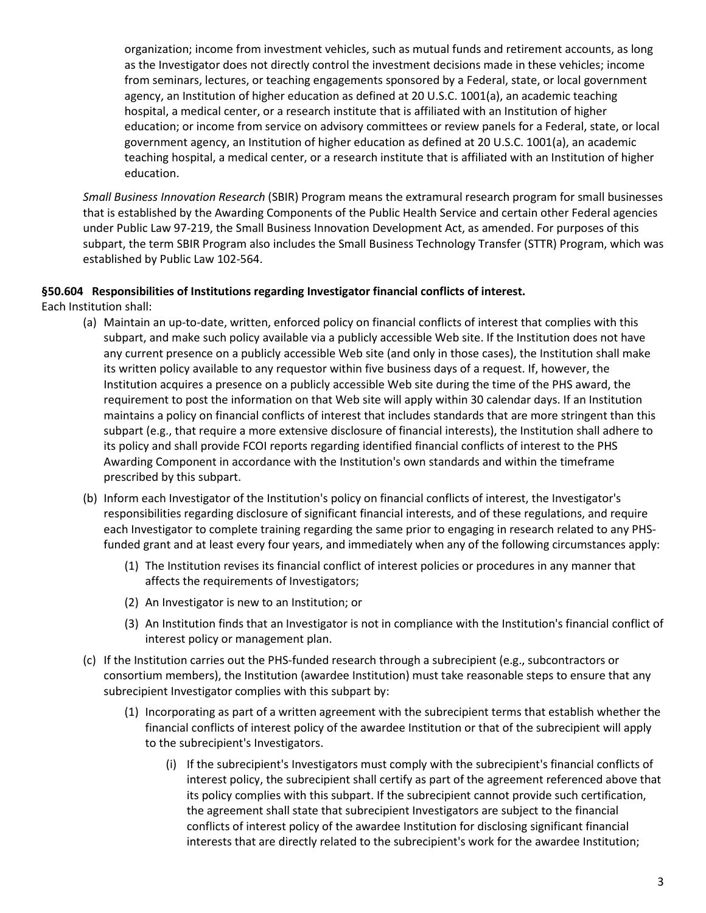organization; income from investment vehicles, such as mutual funds and retirement accounts, as long as the Investigator does not directly control the investment decisions made in these vehicles; income from seminars, lectures, or teaching engagements sponsored by a Federal, state, or local government agency, an Institution of higher education as defined at 20 U.S.C. 1001(a), an academic teaching hospital, a medical center, or a research institute that is affiliated with an Institution of higher education; or income from service on advisory committees or review panels for a Federal, state, or local government agency, an Institution of higher education as defined at 20 U.S.C. 1001(a), an academic teaching hospital, a medical center, or a research institute that is affiliated with an Institution of higher education.

*Small Business Innovation Research* (SBIR) Program means the extramural research program for small businesses that is established by the Awarding Components of the Public Health Service and certain other Federal agencies under Public Law 97-219, the Small Business Innovation Development Act, as amended. For purposes of this subpart, the term SBIR Program also includes the Small Business Technology Transfer (STTR) Program, which was established by Public Law 102-564.

# **§50.604 Responsibilities of Institutions regarding Investigator financial conflicts of interest.**

Each Institution shall:

- (a) Maintain an up-to-date, written, enforced policy on financial conflicts of interest that complies with this subpart, and make such policy available via a publicly accessible Web site. If the Institution does not have any current presence on a publicly accessible Web site (and only in those cases), the Institution shall make its written policy available to any requestor within five business days of a request. If, however, the Institution acquires a presence on a publicly accessible Web site during the time of the PHS award, the requirement to post the information on that Web site will apply within 30 calendar days. If an Institution maintains a policy on financial conflicts of interest that includes standards that are more stringent than this subpart (e.g., that require a more extensive disclosure of financial interests), the Institution shall adhere to its policy and shall provide FCOI reports regarding identified financial conflicts of interest to the PHS Awarding Component in accordance with the Institution's own standards and within the timeframe prescribed by this subpart.
- (b) Inform each Investigator of the Institution's policy on financial conflicts of interest, the Investigator's responsibilities regarding disclosure of significant financial interests, and of these regulations, and require each Investigator to complete training regarding the same prior to engaging in research related to any PHSfunded grant and at least every four years, and immediately when any of the following circumstances apply:
	- (1) The Institution revises its financial conflict of interest policies or procedures in any manner that affects the requirements of Investigators;
	- (2) An Investigator is new to an Institution; or
	- (3) An Institution finds that an Investigator is not in compliance with the Institution's financial conflict of interest policy or management plan.
- (c) If the Institution carries out the PHS-funded research through a subrecipient (e.g., subcontractors or consortium members), the Institution (awardee Institution) must take reasonable steps to ensure that any subrecipient Investigator complies with this subpart by:
	- (1) Incorporating as part of a written agreement with the subrecipient terms that establish whether the financial conflicts of interest policy of the awardee Institution or that of the subrecipient will apply to the subrecipient's Investigators.
		- (i) If the subrecipient's Investigators must comply with the subrecipient's financial conflicts of interest policy, the subrecipient shall certify as part of the agreement referenced above that its policy complies with this subpart. If the subrecipient cannot provide such certification, the agreement shall state that subrecipient Investigators are subject to the financial conflicts of interest policy of the awardee Institution for disclosing significant financial interests that are directly related to the subrecipient's work for the awardee Institution;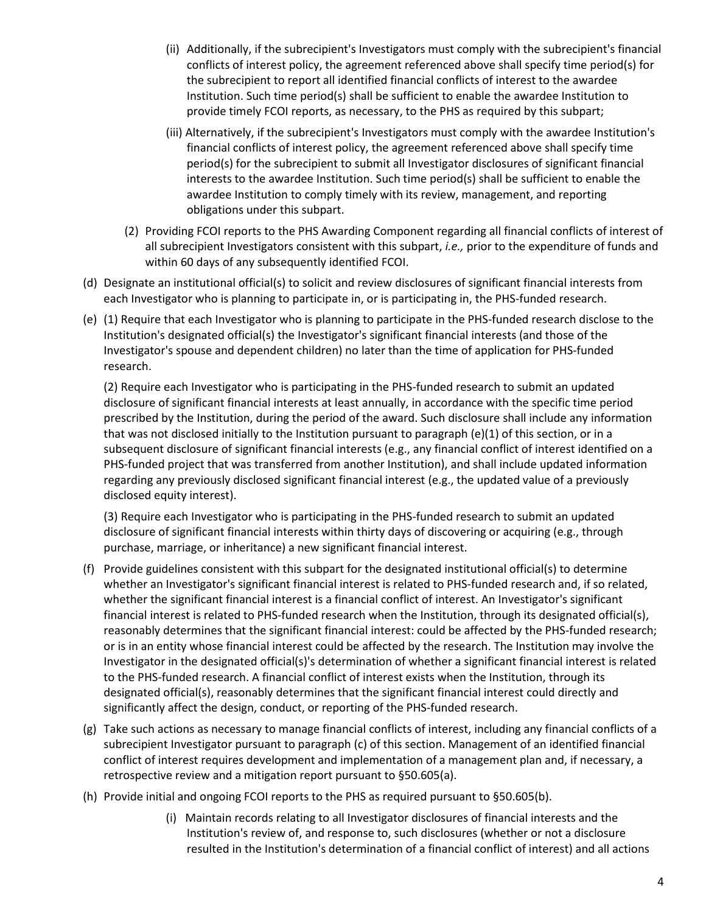- (ii) Additionally, if the subrecipient's Investigators must comply with the subrecipient's financial conflicts of interest policy, the agreement referenced above shall specify time period(s) for the subrecipient to report all identified financial conflicts of interest to the awardee Institution. Such time period(s) shall be sufficient to enable the awardee Institution to provide timely FCOI reports, as necessary, to the PHS as required by this subpart;
- (iii) Alternatively, if the subrecipient's Investigators must comply with the awardee Institution's financial conflicts of interest policy, the agreement referenced above shall specify time period(s) for the subrecipient to submit all Investigator disclosures of significant financial interests to the awardee Institution. Such time period(s) shall be sufficient to enable the awardee Institution to comply timely with its review, management, and reporting obligations under this subpart.
- (2) Providing FCOI reports to the PHS Awarding Component regarding all financial conflicts of interest of all subrecipient Investigators consistent with this subpart, *i.e.,* prior to the expenditure of funds and within 60 days of any subsequently identified FCOI.
- (d) Designate an institutional official(s) to solicit and review disclosures of significant financial interests from each Investigator who is planning to participate in, or is participating in, the PHS-funded research.
- (e) (1) Require that each Investigator who is planning to participate in the PHS-funded research disclose to the Institution's designated official(s) the Investigator's significant financial interests (and those of the Investigator's spouse and dependent children) no later than the time of application for PHS-funded research.

(2) Require each Investigator who is participating in the PHS-funded research to submit an updated disclosure of significant financial interests at least annually, in accordance with the specific time period prescribed by the Institution, during the period of the award. Such disclosure shall include any information that was not disclosed initially to the Institution pursuant to paragraph (e)(1) of this section, or in a subsequent disclosure of significant financial interests (e.g., any financial conflict of interest identified on a PHS-funded project that was transferred from another Institution), and shall include updated information regarding any previously disclosed significant financial interest (e.g., the updated value of a previously disclosed equity interest).

(3) Require each Investigator who is participating in the PHS-funded research to submit an updated disclosure of significant financial interests within thirty days of discovering or acquiring (e.g., through purchase, marriage, or inheritance) a new significant financial interest.

- (f) Provide guidelines consistent with this subpart for the designated institutional official(s) to determine whether an Investigator's significant financial interest is related to PHS-funded research and, if so related, whether the significant financial interest is a financial conflict of interest. An Investigator's significant financial interest is related to PHS-funded research when the Institution, through its designated official(s), reasonably determines that the significant financial interest: could be affected by the PHS-funded research; or is in an entity whose financial interest could be affected by the research. The Institution may involve the Investigator in the designated official(s)'s determination of whether a significant financial interest is related to the PHS-funded research. A financial conflict of interest exists when the Institution, through its designated official(s), reasonably determines that the significant financial interest could directly and significantly affect the design, conduct, or reporting of the PHS-funded research.
- (g) Take such actions as necessary to manage financial conflicts of interest, including any financial conflicts of a subrecipient Investigator pursuant to paragraph (c) of this section. Management of an identified financial conflict of interest requires development and implementation of a management plan and, if necessary, a retrospective review and a mitigation report pursuant to §50.605(a).
- (h) Provide initial and ongoing FCOI reports to the PHS as required pursuant to §50.605(b).
	- (i) Maintain records relating to all Investigator disclosures of financial interests and the Institution's review of, and response to, such disclosures (whether or not a disclosure resulted in the Institution's determination of a financial conflict of interest) and all actions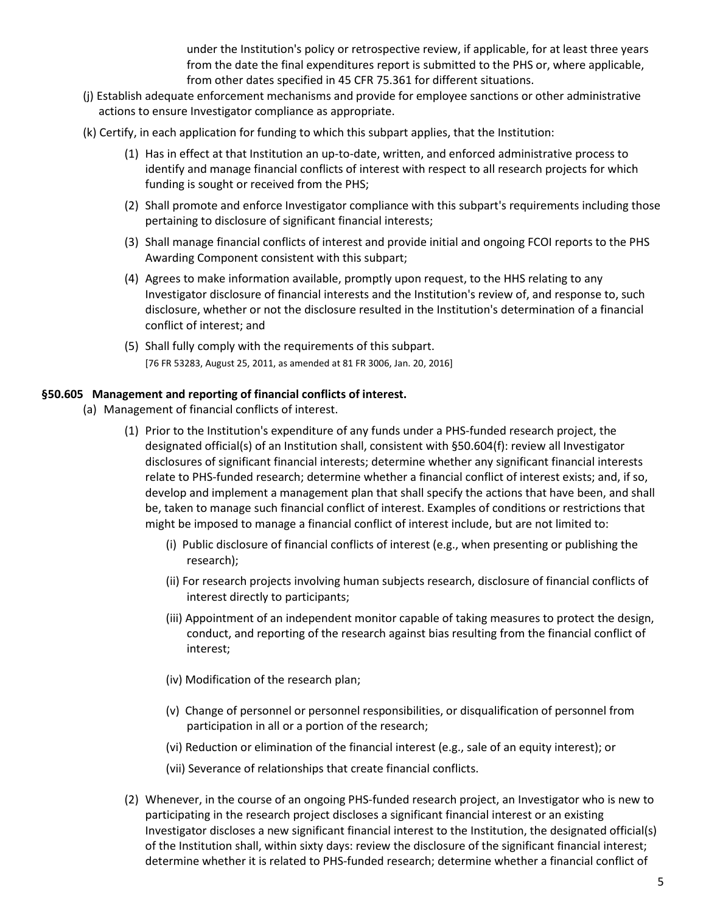under the Institution's policy or retrospective review, if applicable, for at least three years from the date the final expenditures report is submitted to the PHS or, where applicable, from other dates specified in 45 CFR 75.361 for different situations.

- (j) Establish adequate enforcement mechanisms and provide for employee sanctions or other administrative actions to ensure Investigator compliance as appropriate.
- (k) Certify, in each application for funding to which this subpart applies, that the Institution:
	- (1) Has in effect at that Institution an up-to-date, written, and enforced administrative process to identify and manage financial conflicts of interest with respect to all research projects for which funding is sought or received from the PHS;
	- (2) Shall promote and enforce Investigator compliance with this subpart's requirements including those pertaining to disclosure of significant financial interests;
	- (3) Shall manage financial conflicts of interest and provide initial and ongoing FCOI reports to the PHS Awarding Component consistent with this subpart;
	- (4) Agrees to make information available, promptly upon request, to the HHS relating to any Investigator disclosure of financial interests and the Institution's review of, and response to, such disclosure, whether or not the disclosure resulted in the Institution's determination of a financial conflict of interest; and
	- (5) Shall fully comply with the requirements of this subpart. [76 FR 53283, August 25, 2011, as amended at 81 FR 3006, Jan. 20, 2016]

#### **§50.605 Management and reporting of financial conflicts of interest.**

- (a) Management of financial conflicts of interest.
	- (1) Prior to the Institution's expenditure of any funds under a PHS-funded research project, the designated official(s) of an Institution shall, consistent with §50.604(f): review all Investigator disclosures of significant financial interests; determine whether any significant financial interests relate to PHS-funded research; determine whether a financial conflict of interest exists; and, if so, develop and implement a management plan that shall specify the actions that have been, and shall be, taken to manage such financial conflict of interest. Examples of conditions or restrictions that might be imposed to manage a financial conflict of interest include, but are not limited to:
		- (i) Public disclosure of financial conflicts of interest (e.g., when presenting or publishing the research);
		- (ii) For research projects involving human subjects research, disclosure of financial conflicts of interest directly to participants;
		- (iii) Appointment of an independent monitor capable of taking measures to protect the design, conduct, and reporting of the research against bias resulting from the financial conflict of interest;
		- (iv) Modification of the research plan;
		- (v) Change of personnel or personnel responsibilities, or disqualification of personnel from participation in all or a portion of the research;
		- (vi) Reduction or elimination of the financial interest (e.g., sale of an equity interest); or

(vii) Severance of relationships that create financial conflicts.

(2) Whenever, in the course of an ongoing PHS-funded research project, an Investigator who is new to participating in the research project discloses a significant financial interest or an existing Investigator discloses a new significant financial interest to the Institution, the designated official(s) of the Institution shall, within sixty days: review the disclosure of the significant financial interest; determine whether it is related to PHS-funded research; determine whether a financial conflict of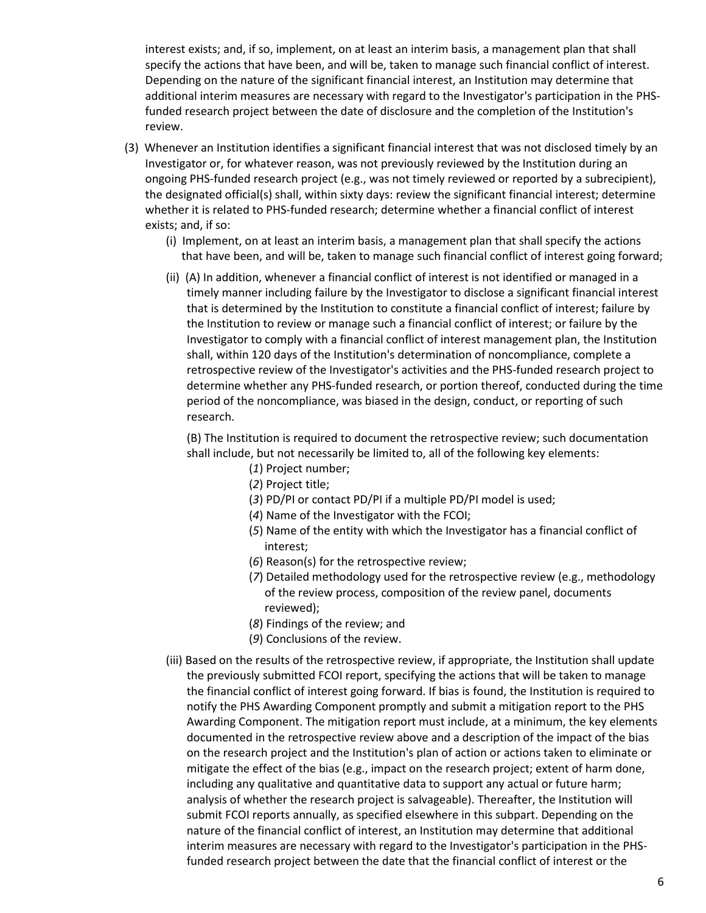interest exists; and, if so, implement, on at least an interim basis, a management plan that shall specify the actions that have been, and will be, taken to manage such financial conflict of interest. Depending on the nature of the significant financial interest, an Institution may determine that additional interim measures are necessary with regard to the Investigator's participation in the PHSfunded research project between the date of disclosure and the completion of the Institution's review.

- (3) Whenever an Institution identifies a significant financial interest that was not disclosed timely by an Investigator or, for whatever reason, was not previously reviewed by the Institution during an ongoing PHS-funded research project (e.g., was not timely reviewed or reported by a subrecipient), the designated official(s) shall, within sixty days: review the significant financial interest; determine whether it is related to PHS-funded research; determine whether a financial conflict of interest exists; and, if so:
	- (i) Implement, on at least an interim basis, a management plan that shall specify the actions that have been, and will be, taken to manage such financial conflict of interest going forward;
	- (ii) (A) In addition, whenever a financial conflict of interest is not identified or managed in a timely manner including failure by the Investigator to disclose a significant financial interest that is determined by the Institution to constitute a financial conflict of interest; failure by the Institution to review or manage such a financial conflict of interest; or failure by the Investigator to comply with a financial conflict of interest management plan, the Institution shall, within 120 days of the Institution's determination of noncompliance, complete a retrospective review of the Investigator's activities and the PHS-funded research project to determine whether any PHS-funded research, or portion thereof, conducted during the time period of the noncompliance, was biased in the design, conduct, or reporting of such research.

(B) The Institution is required to document the retrospective review; such documentation shall include, but not necessarily be limited to, all of the following key elements:

- (*1*) Project number;
- (*2*) Project title;
- (*3*) PD/PI or contact PD/PI if a multiple PD/PI model is used;
- (*4*) Name of the Investigator with the FCOI;
- (*5*) Name of the entity with which the Investigator has a financial conflict of interest;
- (*6*) Reason(s) for the retrospective review;
- (*7*) Detailed methodology used for the retrospective review (e.g., methodology of the review process, composition of the review panel, documents reviewed);
- (*8*) Findings of the review; and
- (*9*) Conclusions of the review.
- (iii) Based on the results of the retrospective review, if appropriate, the Institution shall update the previously submitted FCOI report, specifying the actions that will be taken to manage the financial conflict of interest going forward. If bias is found, the Institution is required to notify the PHS Awarding Component promptly and submit a mitigation report to the PHS Awarding Component. The mitigation report must include, at a minimum, the key elements documented in the retrospective review above and a description of the impact of the bias on the research project and the Institution's plan of action or actions taken to eliminate or mitigate the effect of the bias (e.g., impact on the research project; extent of harm done, including any qualitative and quantitative data to support any actual or future harm; analysis of whether the research project is salvageable). Thereafter, the Institution will submit FCOI reports annually, as specified elsewhere in this subpart. Depending on the nature of the financial conflict of interest, an Institution may determine that additional interim measures are necessary with regard to the Investigator's participation in the PHSfunded research project between the date that the financial conflict of interest or the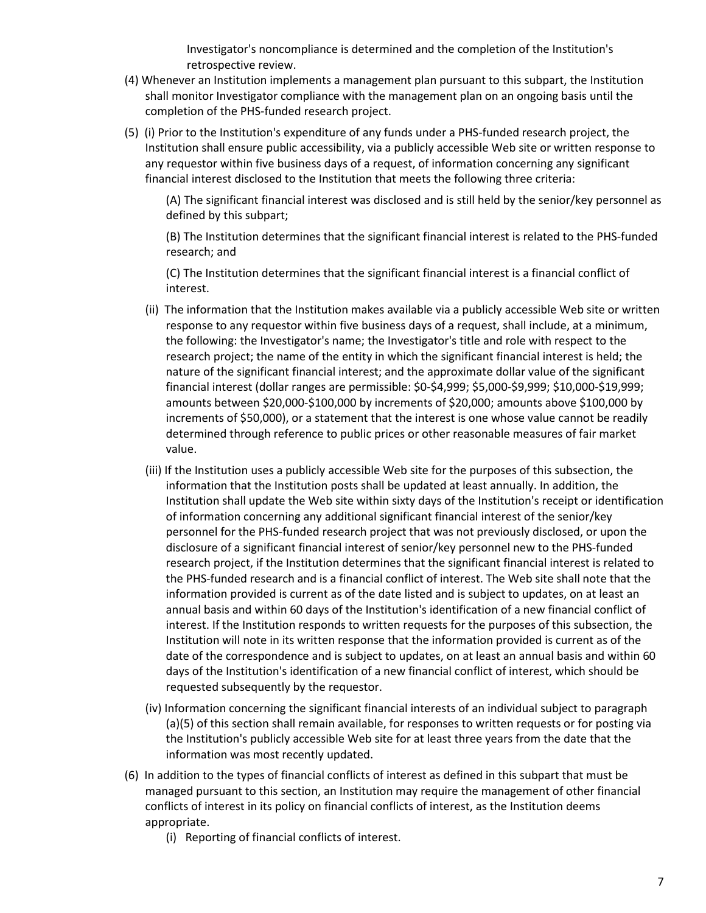Investigator's noncompliance is determined and the completion of the Institution's retrospective review.

- (4) Whenever an Institution implements a management plan pursuant to this subpart, the Institution shall monitor Investigator compliance with the management plan on an ongoing basis until the completion of the PHS-funded research project.
- (5) (i) Prior to the Institution's expenditure of any funds under a PHS-funded research project, the Institution shall ensure public accessibility, via a publicly accessible Web site or written response to any requestor within five business days of a request, of information concerning any significant financial interest disclosed to the Institution that meets the following three criteria:

(A) The significant financial interest was disclosed and is still held by the senior/key personnel as defined by this subpart;

(B) The Institution determines that the significant financial interest is related to the PHS-funded research; and

(C) The Institution determines that the significant financial interest is a financial conflict of interest.

- (ii) The information that the Institution makes available via a publicly accessible Web site or written response to any requestor within five business days of a request, shall include, at a minimum, the following: the Investigator's name; the Investigator's title and role with respect to the research project; the name of the entity in which the significant financial interest is held; the nature of the significant financial interest; and the approximate dollar value of the significant financial interest (dollar ranges are permissible: \$0-\$4,999; \$5,000-\$9,999; \$10,000-\$19,999; amounts between \$20,000-\$100,000 by increments of \$20,000; amounts above \$100,000 by increments of \$50,000), or a statement that the interest is one whose value cannot be readily determined through reference to public prices or other reasonable measures of fair market value.
- (iii) If the Institution uses a publicly accessible Web site for the purposes of this subsection, the information that the Institution posts shall be updated at least annually. In addition, the Institution shall update the Web site within sixty days of the Institution's receipt or identification of information concerning any additional significant financial interest of the senior/key personnel for the PHS-funded research project that was not previously disclosed, or upon the disclosure of a significant financial interest of senior/key personnel new to the PHS-funded research project, if the Institution determines that the significant financial interest is related to the PHS-funded research and is a financial conflict of interest. The Web site shall note that the information provided is current as of the date listed and is subject to updates, on at least an annual basis and within 60 days of the Institution's identification of a new financial conflict of interest. If the Institution responds to written requests for the purposes of this subsection, the Institution will note in its written response that the information provided is current as of the date of the correspondence and is subject to updates, on at least an annual basis and within 60 days of the Institution's identification of a new financial conflict of interest, which should be requested subsequently by the requestor.
- (iv) Information concerning the significant financial interests of an individual subject to paragraph (a)(5) of this section shall remain available, for responses to written requests or for posting via the Institution's publicly accessible Web site for at least three years from the date that the information was most recently updated.
- (6) In addition to the types of financial conflicts of interest as defined in this subpart that must be managed pursuant to this section, an Institution may require the management of other financial conflicts of interest in its policy on financial conflicts of interest, as the Institution deems appropriate.
	- (i) Reporting of financial conflicts of interest.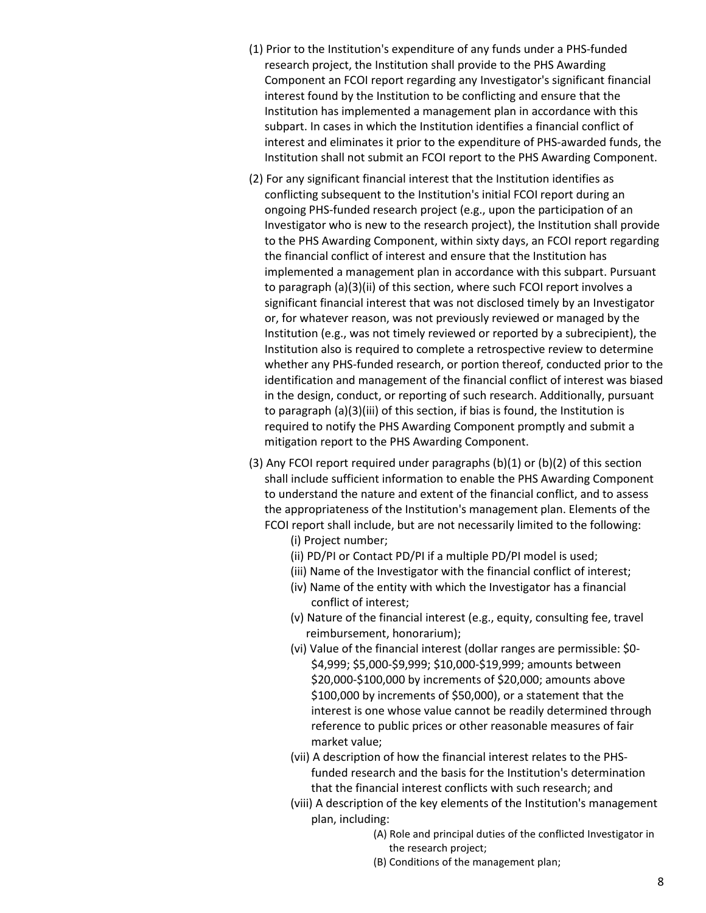- (1) Prior to the Institution's expenditure of any funds under a PHS-funded research project, the Institution shall provide to the PHS Awarding Component an FCOI report regarding any Investigator's significant financial interest found by the Institution to be conflicting and ensure that the Institution has implemented a management plan in accordance with this subpart. In cases in which the Institution identifies a financial conflict of interest and eliminates it prior to the expenditure of PHS-awarded funds, the Institution shall not submit an FCOI report to the PHS Awarding Component.
- (2) For any significant financial interest that the Institution identifies as conflicting subsequent to the Institution's initial FCOI report during an ongoing PHS-funded research project (e.g., upon the participation of an Investigator who is new to the research project), the Institution shall provide to the PHS Awarding Component, within sixty days, an FCOI report regarding the financial conflict of interest and ensure that the Institution has implemented a management plan in accordance with this subpart. Pursuant to paragraph (a)(3)(ii) of this section, where such FCOI report involves a significant financial interest that was not disclosed timely by an Investigator or, for whatever reason, was not previously reviewed or managed by the Institution (e.g., was not timely reviewed or reported by a subrecipient), the Institution also is required to complete a retrospective review to determine whether any PHS-funded research, or portion thereof, conducted prior to the identification and management of the financial conflict of interest was biased in the design, conduct, or reporting of such research. Additionally, pursuant to paragraph (a)(3)(iii) of this section, if bias is found, the Institution is required to notify the PHS Awarding Component promptly and submit a mitigation report to the PHS Awarding Component.
- (3) Any FCOI report required under paragraphs (b)(1) or (b)(2) of this section shall include sufficient information to enable the PHS Awarding Component to understand the nature and extent of the financial conflict, and to assess the appropriateness of the Institution's management plan. Elements of the FCOI report shall include, but are not necessarily limited to the following:
	- (i) Project number;
	- (ii) PD/PI or Contact PD/PI if a multiple PD/PI model is used;
	- (iii) Name of the Investigator with the financial conflict of interest;
	- (iv) Name of the entity with which the Investigator has a financial conflict of interest;
	- (v) Nature of the financial interest (e.g., equity, consulting fee, travel reimbursement, honorarium);
	- (vi) Value of the financial interest (dollar ranges are permissible: \$0- \$4,999; \$5,000-\$9,999; \$10,000-\$19,999; amounts between \$20,000-\$100,000 by increments of \$20,000; amounts above \$100,000 by increments of \$50,000), or a statement that the interest is one whose value cannot be readily determined through reference to public prices or other reasonable measures of fair market value;
	- (vii) A description of how the financial interest relates to the PHSfunded research and the basis for the Institution's determination that the financial interest conflicts with such research; and
	- (viii) A description of the key elements of the Institution's management plan, including:
		- (A) Role and principal duties of the conflicted Investigator in the research project;
		- (B) Conditions of the management plan;